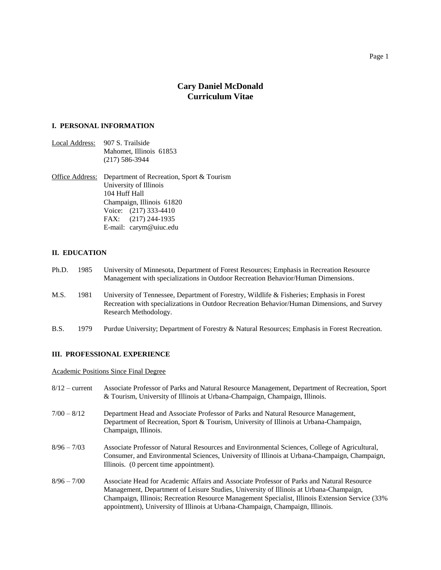# **Cary Daniel McDonald Curriculum Vitae**

# **I. PERSONAL INFORMATION**

Local Address: 907 S. Trailside Mahomet, Illinois 61853 (217) 586-3944

Office Address: Department of Recreation, Sport & Tourism University of Illinois 104 Huff Hall Champaign, Illinois 61820 Voice: (217) 333-4410 FAX: (217) 244-1935 E-mail: carym@uiuc.edu

# **II. EDUCATION**

- Ph.D. 1985 University of Minnesota, Department of Forest Resources; Emphasis in Recreation Resource Management with specializations in Outdoor Recreation Behavior/Human Dimensions.
- M.S. 1981 University of Tennessee, Department of Forestry, Wildlife & Fisheries; Emphasis in Forest Recreation with specializations in Outdoor Recreation Behavior/Human Dimensions, and Survey Research Methodology.
- B.S. 1979 Purdue University; Department of Forestry & Natural Resources; Emphasis in Forest Recreation.

# **III. PROFESSIONAL EXPERIENCE**

Academic Positions Since Final Degree

- 8/12 current Associate Professor of Parks and Natural Resource Management, Department of Recreation, Sport & Tourism, University of Illinois at Urbana-Champaign, Champaign, Illinois.
- 7/00 8/12 Department Head and Associate Professor of Parks and Natural Resource Management, Department of Recreation, Sport & Tourism, University of Illinois at Urbana-Champaign, Champaign, Illinois.
- 8/96 7/03 Associate Professor of Natural Resources and Environmental Sciences, College of Agricultural, Consumer, and Environmental Sciences, University of Illinois at Urbana-Champaign, Champaign, Illinois. (0 percent time appointment).
- 8/96 7/00 Associate Head for Academic Affairs and Associate Professor of Parks and Natural Resource Management, Department of Leisure Studies, University of Illinois at Urbana-Champaign, Champaign, Illinois; Recreation Resource Management Specialist, Illinois Extension Service (33% appointment), University of Illinois at Urbana-Champaign, Champaign, Illinois.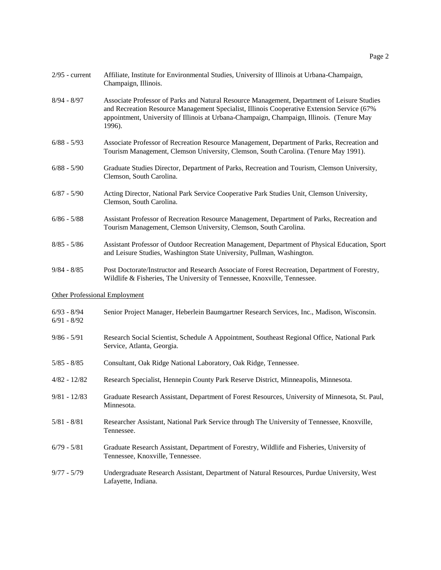| $2/95$ - current                     | Affiliate, Institute for Environmental Studies, University of Illinois at Urbana-Champaign,<br>Champaign, Illinois.                                                                                                                                                                              |
|--------------------------------------|--------------------------------------------------------------------------------------------------------------------------------------------------------------------------------------------------------------------------------------------------------------------------------------------------|
| $8/94 - 8/97$                        | Associate Professor of Parks and Natural Resource Management, Department of Leisure Studies<br>and Recreation Resource Management Specialist, Illinois Cooperative Extension Service (67%<br>appointment, University of Illinois at Urbana-Champaign, Champaign, Illinois. (Tenure May<br>1996). |
| $6/88 - 5/93$                        | Associate Professor of Recreation Resource Management, Department of Parks, Recreation and<br>Tourism Management, Clemson University, Clemson, South Carolina. (Tenure May 1991).                                                                                                                |
| $6/88 - 5/90$                        | Graduate Studies Director, Department of Parks, Recreation and Tourism, Clemson University,<br>Clemson, South Carolina.                                                                                                                                                                          |
| $6/87 - 5/90$                        | Acting Director, National Park Service Cooperative Park Studies Unit, Clemson University,<br>Clemson, South Carolina.                                                                                                                                                                            |
| $6/86 - 5/88$                        | Assistant Professor of Recreation Resource Management, Department of Parks, Recreation and<br>Tourism Management, Clemson University, Clemson, South Carolina.                                                                                                                                   |
| $8/85 - 5/86$                        | Assistant Professor of Outdoor Recreation Management, Department of Physical Education, Sport<br>and Leisure Studies, Washington State University, Pullman, Washington.                                                                                                                          |
| $9/84 - 8/85$                        | Post Doctorate/Instructor and Research Associate of Forest Recreation, Department of Forestry,<br>Wildlife & Fisheries, The University of Tennessee, Knoxville, Tennessee.                                                                                                                       |
| <b>Other Professional Employment</b> |                                                                                                                                                                                                                                                                                                  |
| $6/93 - 8/94$<br>$6/91 - 8/92$       | Senior Project Manager, Heberlein Baumgartner Research Services, Inc., Madison, Wisconsin.                                                                                                                                                                                                       |
| $9/86 - 5/91$                        | Research Social Scientist, Schedule A Appointment, Southeast Regional Office, National Park<br>Service, Atlanta, Georgia.                                                                                                                                                                        |
| $5/85 - 8/85$                        | Consultant, Oak Ridge National Laboratory, Oak Ridge, Tennessee.                                                                                                                                                                                                                                 |
| $4/82 - 12/82$                       | Research Specialist, Hennepin County Park Reserve District, Minneapolis, Minnesota.                                                                                                                                                                                                              |
| $9/81 - 12/83$                       | Graduate Research Assistant, Department of Forest Resources, University of Minnesota, St. Paul,<br>Minnesota.                                                                                                                                                                                    |
| $5/81 - 8/81$                        | Researcher Assistant, National Park Service through The University of Tennessee, Knoxville,<br>Tennessee.                                                                                                                                                                                        |
| $6/79 - 5/81$                        | Graduate Research Assistant, Department of Forestry, Wildlife and Fisheries, University of<br>Tennessee, Knoxville, Tennessee.                                                                                                                                                                   |
| $9/77 - 5/79$                        | Undergraduate Research Assistant, Department of Natural Resources, Purdue University, West<br>Lafayette, Indiana.                                                                                                                                                                                |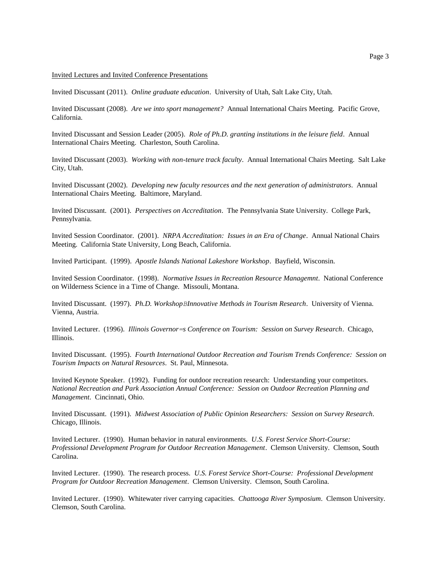#### Invited Lectures and Invited Conference Presentations

Invited Discussant (2011). *Online graduate education*. University of Utah, Salt Lake City, Utah.

Invited Discussant (2008). *Are we into sport management?* Annual International Chairs Meeting. Pacific Grove, California.

Invited Discussant and Session Leader (2005). *Role of Ph.D. granting institutions in the leisure field*. Annual International Chairs Meeting. Charleston, South Carolina.

Invited Discussant (2003). *Working with non-tenure track faculty*. Annual International Chairs Meeting. Salt Lake City, Utah.

Invited Discussant (2002). *Developing new faculty resources and the next generation of administrators*. Annual International Chairs Meeting. Baltimore, Maryland.

Invited Discussant. (2001). *Perspectives on Accreditation*. The Pennsylvania State University. College Park, Pennsylvania.

Invited Session Coordinator. (2001). *NRPA Accreditation: Issues in an Era of Change*. Annual National Chairs Meeting. California State University, Long Beach, California.

Invited Participant. (1999). *Apostle Islands National Lakeshore Workshop*. Bayfield, Wisconsin.

Invited Session Coordinator. (1998). *Normative Issues in Recreation Resource Managemnt*. National Conference on Wilderness Science in a Time of Change. Missouli, Montana.

Invited Discussant. (1997). *Ph.D. WorkshopBInnovative Methods in Tourism Research*. University of Vienna. Vienna, Austria.

Invited Lecturer. (1996). *Illinois Governor=s Conference on Tourism: Session on Survey Research*. Chicago, Illinois.

Invited Discussant. (1995). *Fourth International Outdoor Recreation and Tourism Trends Conference: Session on Tourism Impacts on Natural Resources*. St. Paul, Minnesota.

Invited Keynote Speaker. (1992). Funding for outdoor recreation research: Understanding your competitors. *National Recreation and Park Association Annual Conference: Session on Outdoor Recreation Planning and Management*. Cincinnati, Ohio.

Invited Discussant. (1991). *Midwest Association of Public Opinion Researchers: Session on Survey Research*. Chicago, Illinois.

Invited Lecturer. (1990). Human behavior in natural environments. *U.S. Forest Service Short-Course: Professional Development Program for Outdoor Recreation Management*. Clemson University. Clemson, South Carolina.

Invited Lecturer. (1990). The research process. *U.S. Forest Service Short-Course: Professional Development Program for Outdoor Recreation Management*. Clemson University. Clemson, South Carolina.

Invited Lecturer. (1990). Whitewater river carrying capacities. *Chattooga River Symposium*. Clemson University. Clemson, South Carolina.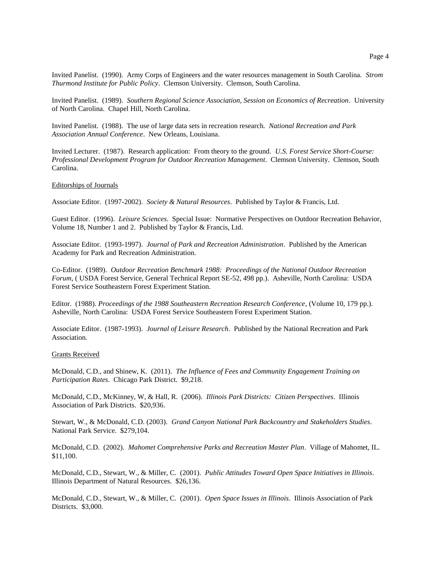Invited Panelist. (1990). Army Corps of Engineers and the water resources management in South Carolina. *Strom Thurmond Institute for Public Policy*. Clemson University. Clemson, South Carolina.

Invited Panelist. (1989). *Southern Regional Science Association, Session on Economics of Recreation*. University of North Carolina. Chapel Hill, North Carolina.

Invited Panelist. (1988). The use of large data sets in recreation research. *National Recreation and Park Association Annual Conference*. New Orleans, Louisiana.

Invited Lecturer. (1987). Research application: From theory to the ground. *U.S. Forest Service Short-Course: Professional Development Program for Outdoor Recreation Management*. Clemson University. Clemson, South Carolina.

#### Editorships of Journals

Associate Editor. (1997-2002). *Society & Natural Resources*. Published by Taylor & Francis, Ltd.

Guest Editor. (1996). *Leisure Sciences*. Special Issue: Normative Perspectives on Outdoor Recreation Behavior, Volume 18, Number 1 and 2. Published by Taylor & Francis, Ltd.

Associate Editor. (1993-1997). *Journal of Park and Recreation Administration*. Published by the American Academy for Park and Recreation Administration.

Co-Editor. (1989). *Outdoor Recreation Benchmark 1988: Proceedings of the National Outdoor Recreation Forum*, ( USDA Forest Service, General Technical Report SE-52, 498 pp.). Asheville, North Carolina: USDA Forest Service Southeastern Forest Experiment Station.

Editor. (1988). *Proceedings of the 1988 Southeastern Recreation Research Conference*, (Volume 10, 179 pp.). Asheville, North Carolina: USDA Forest Service Southeastern Forest Experiment Station.

Associate Editor. (1987-1993). *Journal of Leisure Research*. Published by the National Recreation and Park Association.

#### Grants Received

McDonald, C.D., and Shinew, K. (2011). *The Influence of Fees and Community Engagement Training on Participation Rates*. Chicago Park District. \$9,218.

McDonald, C.D., McKinney, W, & Hall, R. (2006). *Illinois Park Districts: Citizen Perspectives*. Illinois Association of Park Districts. \$20,936.

Stewart, W., & McDonald, C.D. (2003). *Grand Canyon National Park Backcountry and Stakeholders Studies*. National Park Service. \$279,104.

McDonald, C.D. (2002). *Mahomet Comprehensive Parks and Recreation Master Plan*. Village of Mahomet, IL. \$11,100.

McDonald, C.D., Stewart, W., & Miller, C. (2001). *Public Attitudes Toward Open Space Initiatives in Illinois*. Illinois Department of Natural Resources. \$26,136.

McDonald, C.D., Stewart, W., & Miller, C. (2001). *Open Space Issues in Illinois*. Illinois Association of Park Districts. \$3,000.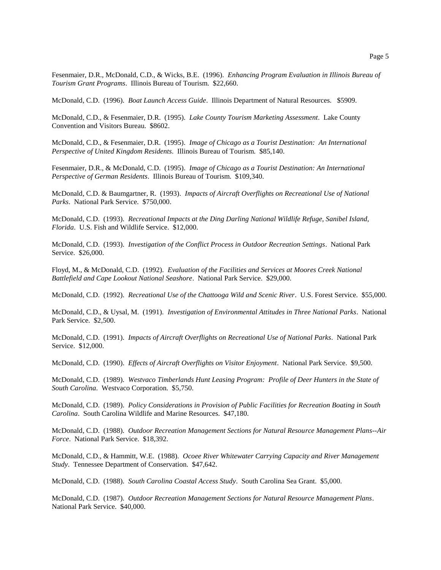Fesenmaier, D.R., McDonald, C.D., & Wicks, B.E. (1996). *Enhancing Program Evaluation in Illinois Bureau of Tourism Grant Programs*. Illinois Bureau of Tourism. \$22,660.

McDonald, C.D. (1996). *Boat Launch Access Guide*. Illinois Department of Natural Resources. \$5909.

McDonald, C.D., & Fesenmaier, D.R. (1995). *Lake County Tourism Marketing Assessment*. Lake County Convention and Visitors Bureau. \$8602.

McDonald, C.D., & Fesenmaier, D.R. (1995). *Image of Chicago as a Tourist Destination: An International Perspective of United Kingdom Residents*. Illinois Bureau of Tourism. \$85,140.

Fesenmaier, D.R., & McDonald, C.D. (1995). *Image of Chicago as a Tourist Destination: An International Perspective of German Residents*. Illinois Bureau of Tourism. \$109,340.

McDonald, C.D. & Baumgartner, R. (1993). *Impacts of Aircraft Overflights on Recreational Use of National Parks*. National Park Service. \$750,000.

McDonald, C.D. (1993). *Recreational Impacts at the Ding Darling National Wildlife Refuge, Sanibel Island, Florida*. U.S. Fish and Wildlife Service. \$12,000.

McDonald, C.D. (1993). *Investigation of the Conflict Process in Outdoor Recreation Settings*. National Park Service. \$26,000.

Floyd, M., & McDonald, C.D. (1992). *Evaluation of the Facilities and Services at Moores Creek National Battlefield and Cape Lookout National Seashore*. National Park Service. \$29,000.

McDonald, C.D. (1992). *Recreational Use of the Chattooga Wild and Scenic River*. U.S. Forest Service. \$55,000.

McDonald, C.D., & Uysal, M. (1991). *Investigation of Environmental Attitudes in Three National Parks*. National Park Service. \$2,500.

McDonald, C.D. (1991). *Impacts of Aircraft Overflights on Recreational Use of National Parks*. National Park Service. \$12,000.

McDonald, C.D. (1990). *Effects of Aircraft Overflights on Visitor Enjoyment*. National Park Service. \$9,500.

McDonald, C.D. (1989). *Westvaco Timberlands Hunt Leasing Program: Profile of Deer Hunters in the State of South Carolina*. Westvaco Corporation. \$5,750.

McDonald, C.D. (1989). *Policy Considerations in Provision of Public Facilities for Recreation Boating in South Carolina*. South Carolina Wildlife and Marine Resources. \$47,180.

McDonald, C.D. (1988). *Outdoor Recreation Management Sections for Natural Resource Management Plans--Air Force*. National Park Service. \$18,392.

McDonald, C.D., & Hammitt, W.E. (1988). *Ocoee River Whitewater Carrying Capacity and River Management Study*. Tennessee Department of Conservation. \$47,642.

McDonald, C.D. (1988). *South Carolina Coastal Access Study*. South Carolina Sea Grant. \$5,000.

McDonald, C.D. (1987). *Outdoor Recreation Management Sections for Natural Resource Management Plans*. National Park Service. \$40,000.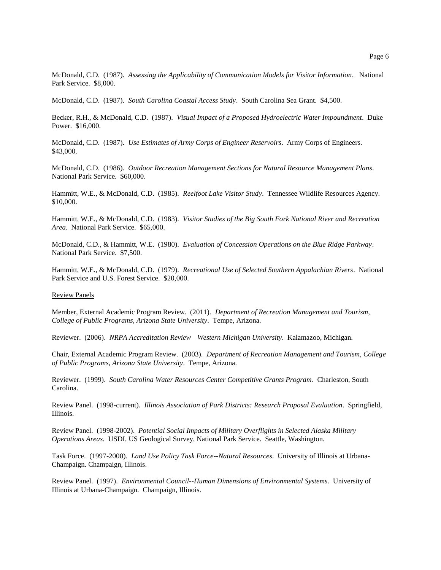McDonald, C.D. (1987). *Assessing the Applicability of Communication Models for Visitor Information*. National Park Service. \$8,000.

McDonald, C.D. (1987). *South Carolina Coastal Access Study*. South Carolina Sea Grant. \$4,500.

Becker, R.H., & McDonald, C.D. (1987). *Visual Impact of a Proposed Hydroelectric Water Impoundment*. Duke Power. \$16,000.

McDonald, C.D. (1987). *Use Estimates of Army Corps of Engineer Reservoirs*. Army Corps of Engineers. \$43,000.

McDonald, C.D. (1986). *Outdoor Recreation Management Sections for Natural Resource Management Plans*. National Park Service. \$60,000.

Hammitt, W.E., & McDonald, C.D. (1985). *Reelfoot Lake Visitor Study*. Tennessee Wildlife Resources Agency. \$10,000.

Hammitt, W.E., & McDonald, C.D. (1983). *Visitor Studies of the Big South Fork National River and Recreation Area*. National Park Service. \$65,000.

McDonald, C.D., & Hammitt, W.E. (1980). *Evaluation of Concession Operations on the Blue Ridge Parkway*. National Park Service. \$7,500.

Hammitt, W.E., & McDonald, C.D. (1979). *Recreational Use of Selected Southern Appalachian Rivers*. National Park Service and U.S. Forest Service. \$20,000.

## Review Panels

Member, External Academic Program Review. (2011). *Department of Recreation Management and Tourism, College of Public Programs, Arizona State University*. Tempe, Arizona.

Reviewer. (2006). *NRPA Accreditation Review—Western Michigan University*. Kalamazoo, Michigan.

Chair, External Academic Program Review. (2003). *Department of Recreation Management and Tourism, College of Public Programs, Arizona State University*. Tempe, Arizona.

Reviewer. (1999). *South Carolina Water Resources Center Competitive Grants Program*. Charleston, South Carolina.

Review Panel. (1998-current). *Illinois Association of Park Districts: Research Proposal Evaluation*. Springfield, Illinois.

Review Panel. (1998-2002). *Potential Social Impacts of Military Overflights in Selected Alaska Military Operations Areas*. USDI, US Geological Survey, National Park Service. Seattle, Washington.

Task Force. (1997-2000). *Land Use Policy Task Force--Natural Resources*. University of Illinois at Urbana-Champaign. Champaign, Illinois.

Review Panel. (1997). *Environmental Council--Human Dimensions of Environmental Systems*. University of Illinois at Urbana-Champaign. Champaign, Illinois.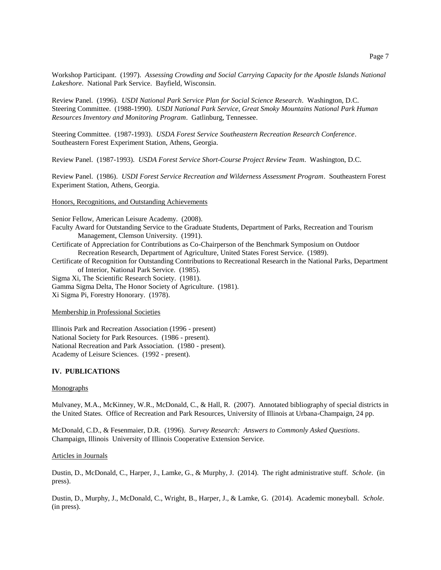Workshop Participant. (1997). *Assessing Crowding and Social Carrying Capacity for the Apostle Islands National Lakeshore*. National Park Service. Bayfield, Wisconsin.

Review Panel. (1996). *USDI National Park Service Plan for Social Science Research*. Washington, D.C. Steering Committee. (1988-1990). *USDI National Park Service, Great Smoky Mountains National Park Human Resources Inventory and Monitoring Program*. Gatlinburg, Tennessee.

Steering Committee. (1987-1993). *USDA Forest Service Southeastern Recreation Research Conference*. Southeastern Forest Experiment Station, Athens, Georgia.

Review Panel. (1987-1993). *USDA Forest Service Short-Course Project Review Team*. Washington, D.C.

Review Panel. (1986). *USDI Forest Service Recreation and Wilderness Assessment Program*. Southeastern Forest Experiment Station, Athens, Georgia.

# Honors, Recognitions, and Outstanding Achievements

Senior Fellow, American Leisure Academy. (2008).

Faculty Award for Outstanding Service to the Graduate Students, Department of Parks, Recreation and Tourism Management, Clemson University. (1991).

Certificate of Appreciation for Contributions as Co-Chairperson of the Benchmark Symposium on Outdoor Recreation Research, Department of Agriculture, United States Forest Service. (1989).

Certificate of Recognition for Outstanding Contributions to Recreational Research in the National Parks, Department of Interior, National Park Service. (1985).

Sigma Xi, The Scientific Research Society. (1981).

Gamma Sigma Delta, The Honor Society of Agriculture. (1981). Xi Sigma Pi, Forestry Honorary. (1978).

## Membership in Professional Societies

Illinois Park and Recreation Association (1996 - present) National Society for Park Resources. (1986 - present). National Recreation and Park Association. (1980 - present). Academy of Leisure Sciences. (1992 - present).

# **IV. PUBLICATIONS**

#### Monographs

Mulvaney, M.A., McKinney, W.R., McDonald, C., & Hall, R. (2007). Annotated bibliography of special districts in the United States. Office of Recreation and Park Resources, University of Illinois at Urbana-Champaign, 24 pp.

McDonald, C.D., & Fesenmaier, D.R. (1996). *Survey Research: Answers to Commonly Asked Questions*. Champaign, Illinois University of Illinois Cooperative Extension Service.

#### Articles in Journals

Dustin, D., McDonald, C., Harper, J., Lamke, G., & Murphy, J. (2014). The right administrative stuff. *Schole*. (in press).

Dustin, D., Murphy, J., McDonald, C., Wright, B., Harper, J., & Lamke, G. (2014). Academic moneyball. *Schole*. (in press).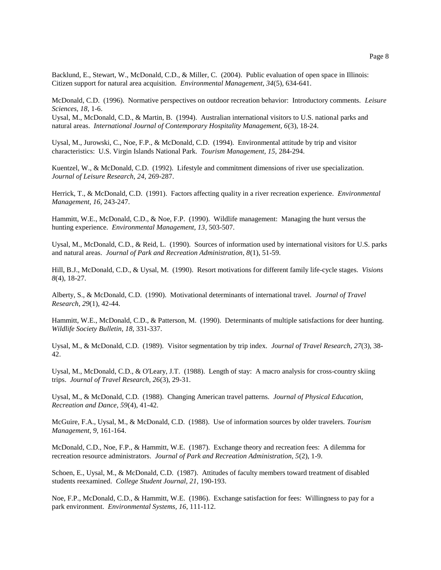Backlund, E., Stewart, W., McDonald, C.D., & Miller, C. (2004). Public evaluation of open space in Illinois: Citizen support for natural area acquisition. *Environmental Management, 34*(5), 634-641.

McDonald, C.D. (1996). Normative perspectives on outdoor recreation behavior: Introductory comments. *Leisure Sciences, 18*, 1-6.

Uysal, M., McDonald, C.D., & Martin, B. (1994). Australian international visitors to U.S. national parks and natural areas. *International Journal of Contemporary Hospitality Management, 6*(3), 18-24.

Uysal, M., Jurowski, C., Noe, F.P., & McDonald, C.D. (1994). Environmental attitude by trip and visitor characteristics: U.S. Virgin Islands National Park. *Tourism Management, 15,* 284-294.

Kuentzel, W., & McDonald, C.D. (1992). Lifestyle and commitment dimensions of river use specialization. *Journal of Leisure Research, 24,* 269-287.

Herrick, T., & McDonald, C.D. (1991). Factors affecting quality in a river recreation experience. *Environmental Management, 16,* 243-247.

Hammitt, W.E., McDonald, C.D., & Noe, F.P. (1990). Wildlife management: Managing the hunt versus the hunting experience. *Environmental Management, 13*, 503-507.

Uysal, M., McDonald, C.D., & Reid, L. (1990). Sources of information used by international visitors for U.S. parks and natural areas. *Journal of Park and Recreation Administration, 8*(1), 51-59.

Hill, B.J., McDonald, C.D., & Uysal, M. (1990). Resort motivations for different family life-cycle stages. *Visions 8*(4), 18-27.

Alberty, S., & McDonald, C.D. (1990). Motivational determinants of international travel. *Journal of Travel Research, 29*(1), 42-44.

Hammitt, W.E., McDonald, C.D., & Patterson, M. (1990). Determinants of multiple satisfactions for deer hunting. *Wildlife Society Bulletin, 18,* 331-337.

Uysal, M., & McDonald, C.D. (1989). Visitor segmentation by trip index. *Journal of Travel Research, 27*(3), 38- 42.

Uysal, M., McDonald, C.D., & O'Leary, J.T. (1988). Length of stay: A macro analysis for cross-country skiing trips. *Journal of Travel Research, 26*(3), 29-31.

Uysal, M., & McDonald, C.D. (1988). Changing American travel patterns. *Journal of Physical Education, Recreation and Dance, 59*(4), 41-42.

McGuire, F.A., Uysal, M., & McDonald, C.D. (1988). Use of information sources by older travelers. *Tourism Management, 9,* 161-164.

McDonald, C.D., Noe, F.P., & Hammitt, W.E. (1987). Exchange theory and recreation fees: A dilemma for recreation resource administrators. *Journal of Park and Recreation Administration, 5*(2), 1-9.

Schoen, E., Uysal, M., & McDonald, C.D. (1987). Attitudes of faculty members toward treatment of disabled students reexamined. *College Student Journal, 21,* 190-193.

Noe, F.P., McDonald, C.D., & Hammitt, W.E. (1986). Exchange satisfaction for fees: Willingness to pay for a park environment. *Environmental Systems, 16*, 111-112.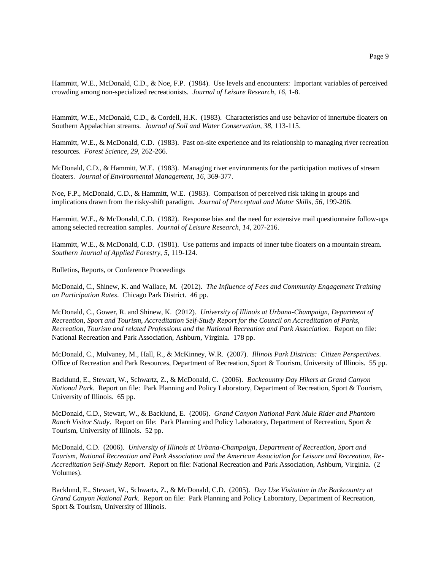Hammitt, W.E., McDonald, C.D., & Noe, F.P. (1984). Use levels and encounters: Important variables of perceived crowding among non-specialized recreationists. *Journal of Leisure Research, 16,* 1-8.

Hammitt, W.E., McDonald, C.D., & Cordell, H.K. (1983). Characteristics and use behavior of innertube floaters on Southern Appalachian streams. *Journal of Soil and Water Conservation, 38,* 113-115.

Hammitt, W.E., & McDonald, C.D. (1983). Past on-site experience and its relationship to managing river recreation resources. *Forest Science, 29,* 262-266.

McDonald, C.D., & Hammitt, W.E. (1983). Managing river environments for the participation motives of stream floaters. *Journal of Environmental Management, 16,* 369-377.

Noe, F.P., McDonald, C.D., & Hammitt, W.E. (1983). Comparison of perceived risk taking in groups and implications drawn from the risky-shift paradigm. *Journal of Perceptual and Motor Skills, 56,* 199-206.

Hammitt, W.E., & McDonald, C.D. (1982). Response bias and the need for extensive mail questionnaire follow-ups among selected recreation samples. *Journal of Leisure Research, 14,* 207-216.

Hammitt, W.E., & McDonald, C.D. (1981). Use patterns and impacts of inner tube floaters on a mountain stream. *Southern Journal of Applied Forestry, 5,* 119-124.

# Bulletins, Reports, or Conference Proceedings

McDonald, C., Shinew, K. and Wallace, M. (2012). *The Influence of Fees and Community Engagement Training on Participation Rates*. Chicago Park District. 46 pp.

McDonald, C., Gower, R. and Shinew, K. (2012). *University of Illinois at Urbana-Champaign, Department of Recreation, Sport and Tourism, Accreditation Self-Study Report for the Council on Accreditation of Parks, Recreation, Tourism and related Professions and the National Recreation and Park Association*. Report on file: National Recreation and Park Association, Ashburn, Virginia. 178 pp.

McDonald, C., Mulvaney, M., Hall, R., & McKinney, W.R. (2007). *Illinois Park Districts: Citizen Perspectives*. Office of Recreation and Park Resources, Department of Recreation, Sport & Tourism, University of Illinois. 55 pp.

Backlund, E., Stewart, W., Schwartz, Z., & McDonald, C. (2006). *Backcountry Day Hikers at Grand Canyon National Park*. Report on file: Park Planning and Policy Laboratory, Department of Recreation, Sport & Tourism, University of Illinois. 65 pp.

McDonald, C.D., Stewart, W., & Backlund, E. (2006). *Grand Canyon National Park Mule Rider and Phantom Ranch Visitor Study*. Report on file: Park Planning and Policy Laboratory, Department of Recreation, Sport & Tourism, University of Illinois. 52 pp.

McDonald, C.D. (2006). *University of Illinois at Urbana-Champaign, Department of Recreation, Sport and Tourism, National Recreation and Park Association and the American Association for Leisure and Recreation, Re-Accreditation Self-Study Report*. Report on file: National Recreation and Park Association, Ashburn, Virginia. (2 Volumes).

Backlund, E., Stewart, W., Schwartz, Z., & McDonald, C.D. (2005). *Day Use Visitation in the Backcountry at Grand Canyon National Park*. Report on file: Park Planning and Policy Laboratory, Department of Recreation, Sport & Tourism, University of Illinois.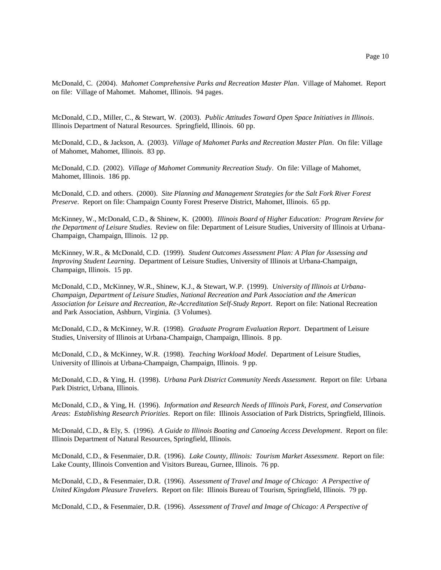McDonald, C. (2004). *Mahomet Comprehensive Parks and Recreation Master Plan*. Village of Mahomet. Report on file: Village of Mahomet. Mahomet, Illinois. 94 pages.

McDonald, C.D., Miller, C., & Stewart, W. (2003). *Public Attitudes Toward Open Space Initiatives in Illinois*. Illinois Department of Natural Resources. Springfield, Illinois. 60 pp.

McDonald, C.D., & Jackson, A. (2003). *Village of Mahomet Parks and Recreation Master Plan*. On file: Village of Mahomet, Mahomet, Illinois. 83 pp.

McDonald, C.D. (2002). *Village of Mahomet Community Recreation Study*. On file: Village of Mahomet, Mahomet, Illinois. 186 pp.

McDonald, C.D. and others. (2000). *Site Planning and Management Strategies for the Salt Fork River Forest Preserve*. Report on file: Champaign County Forest Preserve District, Mahomet, Illinois. 65 pp.

McKinney, W., McDonald, C.D., & Shinew, K. (2000). *Illinois Board of Higher Education: Program Review for the Department of Leisure Studies*. Review on file: Department of Leisure Studies, University of Illinois at Urbana-Champaign, Champaign, Illinois. 12 pp.

McKinney, W.R., & McDonald, C.D. (1999). *Student Outcomes Assessment Plan: A Plan for Assessing and Improving Student Learning*. Department of Leisure Studies, University of Illinois at Urbana-Champaign, Champaign, Illinois. 15 pp.

McDonald, C.D., McKinney, W.R., Shinew, K.J., & Stewart, W.P. (1999). *University of Illinois at Urbana-Champaign, Department of Leisure Studies, National Recreation and Park Association and the American Association for Leisure and Recreation, Re-Accreditation Self-Study Report*. Report on file: National Recreation and Park Association, Ashburn, Virginia. (3 Volumes).

McDonald, C.D., & McKinney, W.R. (1998). *Graduate Program Evaluation Report*. Department of Leisure Studies, University of Illinois at Urbana-Champaign, Champaign, Illinois. 8 pp.

McDonald, C.D., & McKinney, W.R. (1998). *Teaching Workload Model*. Department of Leisure Studies, University of Illinois at Urbana-Champaign, Champaign, Illinois. 9 pp.

McDonald, C.D., & Ying, H. (1998). *Urbana Park District Community Needs Assessment*. Report on file: Urbana Park District, Urbana, Illinois.

McDonald, C.D., & Ying, H. (1996). *Information and Research Needs of Illinois Park, Forest, and Conservation Area*s: *Establishing Research Priorities*. Report on file: Illinois Association of Park Districts, Springfield, Illinois.

McDonald, C.D., & Ely, S. (1996). *A Guide to Illinois Boating and Canoeing Access Development*. Report on file: Illinois Department of Natural Resources, Springfield, Illinois.

McDonald, C.D., & Fesenmaier, D.R. (1996). *Lake County, Illinois: Tourism Market Assessment*. Report on file: Lake County, Illinois Convention and Visitors Bureau, Gurnee, Illinois. 76 pp.

McDonald, C.D., & Fesenmaier, D.R. (1996). *Assessment of Travel and Image of Chicago: A Perspective of United Kingdom Pleasure Travelers*. Report on file: Illinois Bureau of Tourism, Springfield, Illinois. 79 pp.

McDonald, C.D., & Fesenmaier, D.R. (1996). *Assessment of Travel and Image of Chicago: A Perspective of*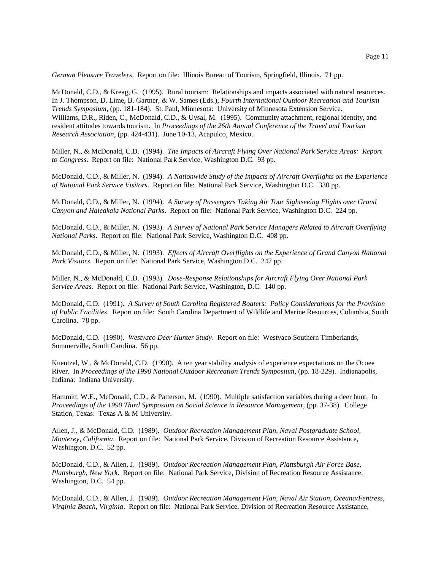*German Pleasure Travelers*. Report on file: Illinois Bureau of Tourism, Springfield, Illinois. 71 pp.

McDonald, C.D., & Kreag, G. (1995). Rural tourism: Relationships and impacts associated with natural resources. In J. Thompson, D. Lime, B. Gartner, & W. Sames (Eds.), *Fourth International Outdoor Recreation and Tourism Trends Symposium*, (pp. 181-184). St. Paul, Minnesota: University of Minnesota Extension Service. Williams, D.R., Riden, C., McDonald, C.D., & Uysal, M. (1995). Community attachment, regional identity, and resident attitudes towards tourism. In *Proceedings of the 26th Annual Conference of the Travel and Tourism Research Association*, (pp. 424-431). June 10-13, Acapulco, Mexico.

Miller, N., & McDonald, C.D. (1994). *The Impacts of Aircraft Flying Over National Park Service Areas: Report to Congress*. Report on file: National Park Service, Washington D.C. 93 pp.

McDonald, C.D., & Miller, N. (1994). *A Nationwide Study of the Impacts of Aircraft Overflights on the Experience of National Park Service Visitors*. Report on file: National Park Service, Washington D.C. 330 pp.

McDonald, C.D., & Miller, N. (1994). *A Survey of Passengers Taking Air Tour Sightseeing Flights over Grand Canyon and Haleakala National Parks*. Report on file: National Park Service, Washington D.C. 224 pp.

McDonald, C.D., & Miller, N. (1993). *A Survey of National Park Service Managers Related to Aircraft Overflying National Parks*. Report on file: National Park Service, Washington D.C. 408 pp.

McDonald, C.D., & Miller, N. (1993). *Effects of Aircraft Overflights on the Experience of Grand Canyon National Park Visitors*. Report on file: National Park Service, Washington D.C. 247 pp.

Miller, N., & McDonald, C.D. (1993). *Dose-Response Relationships for Aircraft Flying Over National Park Service Areas.* Report on file: National Park Service, Washington, D.C. 140 pp.

McDonald, C.D. (1991). *A Survey of South Carolina Registered Boaters: Policy Considerations for the Provision of Public Facilities*. Report on file: South Carolina Department of Wildlife and Marine Resources, Columbia, South Carolina. 78 pp.

McDonald, C.D. (1990). *Westvaco Deer Hunter Study*. Report on file: Westvaco Southern Timberlands, Summerville, South Carolina. 56 pp.

Kuentzel, W., & McDonald, C.D. (1990). A ten year stability analysis of experience expectations on the Ocoee River. In *Proceedings of the 1990 National Outdoor Recreation Trends Symposium*, (pp. 18-229). Indianapolis, Indiana: Indiana University.

Hammitt, W.E., McDonald, C.D., & Patterson, M. (1990). Multiple satisfaction variables during a deer hunt. In *Proceedings of the 1990 Third Symposium on Social Science in Resource Management*, (pp. 37-38). College Station, Texas: Texas A & M University.

Allen, J., & McDonald, C.D. (1989). *Outdoor Recreation Management Plan, Naval Postgraduate School, Monterey, California*. Report on file: National Park Service, Division of Recreation Resource Assistance, Washington, D.C. 52 pp.

McDonald, C.D., & Allen, J. (1989). *Outdoor Recreation Management Plan, Plattsburgh Air Force Base, Plattsburgh, New York*. Report on file: National Park Service, Division of Recreation Resource Assistance, Washington, D.C. 54 pp.

McDonald, C.D., & Allen, J. (1989). *Outdoor Recreation Management Plan, Naval Air Station, Oceana/Fentress, Virginia Beach, Virginia*. Report on file: National Park Service, Division of Recreation Resource Assistance,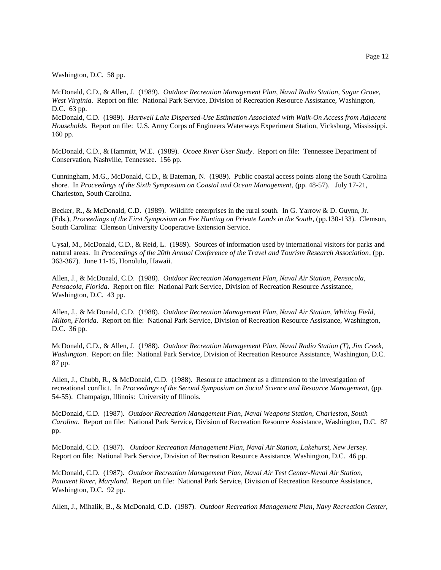Washington, D.C. 58 pp.

McDonald, C.D., & Allen, J. (1989). *Outdoor Recreation Management Plan, Naval Radio Station, Sugar Grove, West Virginia*. Report on file: National Park Service, Division of Recreation Resource Assistance, Washington, D.C. 63 pp.

McDonald, C.D. (1989). *Hartwell Lake Dispersed-Use Estimation Associated with Walk-On Access from Adjacent Households*. Report on file: U.S. Army Corps of Engineers Waterways Experiment Station, Vicksburg, Mississippi. 160 pp.

McDonald, C.D., & Hammitt, W.E. (1989). *Ocoee River User Study*. Report on file: Tennessee Department of Conservation, Nashville, Tennessee. 156 pp.

Cunningham, M.G., McDonald, C.D., & Bateman, N. (1989). Public coastal access points along the South Carolina shore. In *Proceedings of the Sixth Symposium on Coastal and Ocean Management*, (pp. 48-57). July 17-21, Charleston, South Carolina.

Becker, R., & McDonald, C.D. (1989). Wildlife enterprises in the rural south. In G. Yarrow & D. Guynn, Jr. (Eds.), *Proceedings of the First Symposium on Fee Hunting on Private Lands in the South*, (pp.130-133). Clemson, South Carolina: Clemson University Cooperative Extension Service.

Uysal, M., McDonald, C.D., & Reid, L. (1989). Sources of information used by international visitors for parks and natural areas. In *Proceedings of the 20th Annual Conference of the Travel and Tourism Research Association*, (pp. 363-367). June 11-15, Honolulu, Hawaii.

Allen, J., & McDonald, C.D. (1988). *Outdoor Recreation Management Plan, Naval Air Station, Pensacola, Pensacola, Florida*. Report on file: National Park Service, Division of Recreation Resource Assistance, Washington, D.C. 43 pp.

Allen, J., & McDonald, C.D. (1988). *Outdoor Recreation Management Plan, Naval Air Station, Whiting Field, Milton, Florida*. Report on file: National Park Service, Division of Recreation Resource Assistance, Washington, D.C. 36 pp.

McDonald, C.D., & Allen, J. (1988). *Outdoor Recreation Management Plan, Naval Radio Station (T), Jim Creek, Washington*. Report on file: National Park Service, Division of Recreation Resource Assistance, Washington, D.C. 87 pp.

Allen, J., Chubb, R., & McDonald, C.D. (1988). Resource attachment as a dimension to the investigation of recreational conflict. In *Proceedings of the Second Symposium on Social Science and Resource Management*, (pp. 54-55). Champaign, Illinois: University of Illinois.

McDonald, C.D. (1987). *Outdoor Recreation Management Plan, Naval Weapons Station, Charleston, South Carolina*. Report on file: National Park Service, Division of Recreation Resource Assistance, Washington, D.C. 87 pp.

McDonald, C.D. (1987). *Outdoor Recreation Management Plan, Naval Air Station, Lakehurst, New Jersey*. Report on file: National Park Service, Division of Recreation Resource Assistance, Washington, D.C. 46 pp.

McDonald, C.D. (1987). *Outdoor Recreation Management Plan, Naval Air Test Center-Naval Air Station, Patuxent River, Maryland*. Report on file: National Park Service, Division of Recreation Resource Assistance, Washington, D.C. 92 pp.

Allen, J., Mihalik, B., & McDonald, C.D. (1987). *Outdoor Recreation Management Plan, Navy Recreation Center,*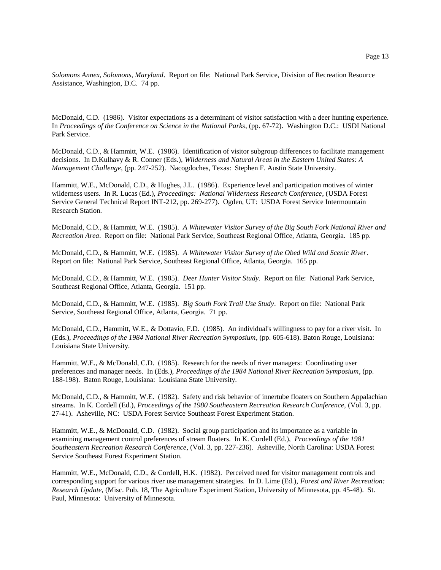*Solomons Annex, Solomons, Maryland*. Report on file: National Park Service, Division of Recreation Resource Assistance, Washington, D.C. 74 pp.

McDonald, C.D. (1986). Visitor expectations as a determinant of visitor satisfaction with a deer hunting experience. In *Proceedings of the Conference on Science in the National Parks*, (pp. 67-72). Washington D.C.: USDI National Park Service.

McDonald, C.D., & Hammitt, W.E. (1986). Identification of visitor subgroup differences to facilitate management decisions. In D.Kulhavy & R. Conner (Eds.), *Wilderness and Natural Areas in the Eastern United States: A Management Challenge*, (pp. 247-252). Nacogdoches, Texas: Stephen F. Austin State University.

Hammitt, W.E., McDonald, C.D., & Hughes, J.L. (1986). Experience level and participation motives of winter wilderness users. In R. Lucas (Ed.), *Proceedings: National Wilderness Research Conference*, (USDA Forest Service General Technical Report INT-212, pp. 269-277). Ogden, UT: USDA Forest Service Intermountain Research Station.

McDonald, C.D., & Hammitt, W.E. (1985). *A Whitewater Visitor Survey of the Big South Fork National River and Recreation Area*. Report on file: National Park Service, Southeast Regional Office, Atlanta, Georgia. 185 pp.

McDonald, C.D., & Hammitt, W.E. (1985). *A Whitewater Visitor Survey of the Obed Wild and Scenic River*. Report on file: National Park Service, Southeast Regional Office, Atlanta, Georgia. 165 pp.

McDonald, C.D., & Hammitt, W.E. (1985). *Deer Hunter Visitor Study*. Report on file: National Park Service, Southeast Regional Office, Atlanta, Georgia. 151 pp.

McDonald, C.D., & Hammitt, W.E. (1985). *Big South Fork Trail Use Study*. Report on file: National Park Service, Southeast Regional Office, Atlanta, Georgia. 71 pp.

McDonald, C.D., Hammitt, W.E., & Dottavio, F.D. (1985). An individual's willingness to pay for a river visit. In (Eds.), *Proceedings of the 1984 National River Recreation Symposium*, (pp. 605-618). Baton Rouge, Louisiana: Louisiana State University.

Hammitt, W.E., & McDonald, C.D. (1985). Research for the needs of river managers: Coordinating user preferences and manager needs. In (Eds.), *Proceedings of the 1984 National River Recreation Symposium*, (pp. 188-198). Baton Rouge, Louisiana: Louisiana State University.

McDonald, C.D., & Hammitt, W.E. (1982). Safety and risk behavior of innertube floaters on Southern Appalachian streams. In K. Cordell (Ed.), *Proceedings of the 1980 Southeastern Recreation Research Conference,* (Vol. 3, pp. 27-41). Asheville, NC: USDA Forest Service Southeast Forest Experiment Station.

Hammitt, W.E., & McDonald, C.D. (1982). Social group participation and its importance as a variable in examining management control preferences of stream floaters. In K. Cordell (Ed.), *Proceedings of the 1981 Southeastern Recreation Research Conference*, (Vol. 3, pp. 227-236). Asheville, North Carolina: USDA Forest Service Southeast Forest Experiment Station.

Hammitt, W.E., McDonald, C.D., & Cordell, H.K. (1982). Perceived need for visitor management controls and corresponding support for various river use management strategies. In D. Lime (Ed.), *Forest and River Recreation: Research Update,* (Misc. Pub. 18, The Agriculture Experiment Station, University of Minnesota, pp. 45-48). St. Paul, Minnesota: University of Minnesota.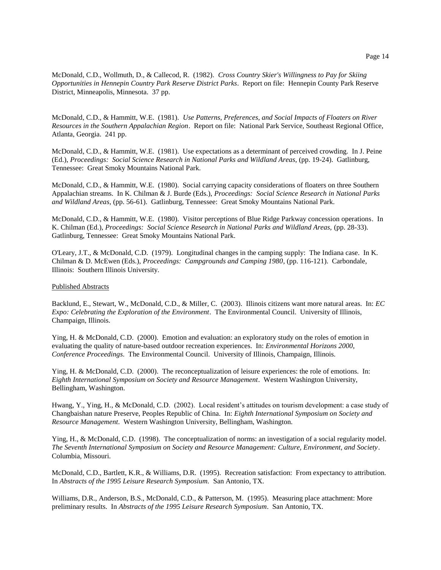McDonald, C.D., Wollmuth, D., & Callecod, R. (1982). *Cross Country Skier's Willingness to Pay for Skiing Opportunities in Hennepin Country Park Reserve District Parks*. Report on file: Hennepin County Park Reserve District, Minneapolis, Minnesota. 37 pp.

McDonald, C.D., & Hammitt, W.E. (1981). *Use Patterns, Preferences, and Social Impacts of Floaters on River Resources in the Southern Appalachian Region*. Report on file: National Park Service, Southeast Regional Office, Atlanta, Georgia. 241 pp.

McDonald, C.D., & Hammitt, W.E. (1981). Use expectations as a determinant of perceived crowding. In J. Peine (Ed.), *Proceedings: Social Science Research in National Parks and Wildland Areas,* (pp. 19-24). Gatlinburg, Tennessee: Great Smoky Mountains National Park.

McDonald, C.D., & Hammitt, W.E. (1980). Social carrying capacity considerations of floaters on three Southern Appalachian streams. In K. Chilman & J. Burde (Eds.), *Proceedings: Social Science Research in National Parks and Wildland Areas,* (pp. 56-61). Gatlinburg, Tennessee: Great Smoky Mountains National Park.

McDonald, C.D., & Hammitt, W.E. (1980). Visitor perceptions of Blue Ridge Parkway concession operations. In K. Chilman (Ed.), *Proceedings: Social Science Research in National Parks and Wildland Areas,* (pp. 28-33). Gatlinburg, Tennessee: Great Smoky Mountains National Park.

O'Leary, J.T., & McDonald, C.D. (1979). Longitudinal changes in the camping supply: The Indiana case. In K. Chilman & D. McEwen (Eds.), *Proceedings: Campgrounds and Camping 1980*, (pp. 116-121). Carbondale, Illinois: Southern Illinois University.

## Published Abstracts

Backlund, E., Stewart, W., McDonald, C.D., & Miller, C. (2003). Illinois citizens want more natural areas. In: *EC Expo: Celebrating the Exploration of the Environment*. The Environmental Council. University of Illinois, Champaign, Illinois.

Ying, H. & McDonald, C.D. (2000). Emotion and evaluation: an exploratory study on the roles of emotion in evaluating the quality of nature-based outdoor recreation experiences. In: *Environmental Horizons 2000, Conference Proceedings*. The Environmental Council. University of Illinois, Champaign, Illinois.

Ying, H. & McDonald, C.D. (2000). The reconceptualization of leisure experiences: the role of emotions. In: *Eighth International Symposium on Society and Resource Management*. Western Washington University, Bellingham, Washington.

Hwang, Y., Ying, H., & McDonald, C.D. (2002). Local resident's attitudes on tourism development: a case study of Changbaishan nature Preserve, Peoples Republic of China. In: *Eighth International Symposium on Society and Resource Management*. Western Washington University, Bellingham, Washington.

Ying, H., & McDonald, C.D. (1998). The conceptualization of norms: an investigation of a social regularity model. *The Seventh International Symposium on Society and Resource Management: Culture, Environment, and Society*. Columbia, Missouri.

McDonald, C.D., Bartlett, K.R., & Williams, D.R. (1995). Recreation satisfaction: From expectancy to attribution. In *Abstracts of the 1995 Leisure Research Symposium.* San Antonio, TX.

Williams, D.R., Anderson, B.S., McDonald, C.D., & Patterson, M. (1995). Measuring place attachment: More preliminary results. In *Abstracts of the 1995 Leisure Research Symposium*. San Antonio, TX.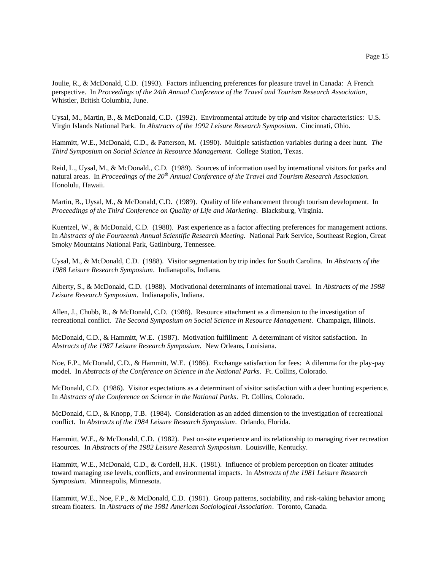Joulie, R., & McDonald, C.D. (1993). Factors influencing preferences for pleasure travel in Canada: A French perspective. In *Proceedings of the 24th Annual Conference of the Travel and Tourism Research Association*, Whistler, British Columbia, June.

Uysal, M., Martin, B., & McDonald, C.D. (1992). Environmental attitude by trip and visitor characteristics: U.S. Virgin Islands National Park. In *Abstracts of the 1992 Leisure Research Symposium*. Cincinnati, Ohio.

Hammitt, W.E., McDonald, C.D., & Patterson, M. (1990). Multiple satisfaction variables during a deer hunt. *The Third Symposium on Social Science in Resource Management.* College Station, Texas.

Reid, L., Uysal, M., & McDonald., C.D. (1989). Sources of information used by international visitors for parks and natural areas. In *Proceedings of the 20th Annual Conference of the Travel and Tourism Research Association.*  Honolulu, Hawaii.

Martin, B., Uysal, M., & McDonald, C.D. (1989). Quality of life enhancement through tourism development. In *Proceedings of the Third Conference on Quality of Life and Marketing*. Blacksburg, Virginia.

Kuentzel, W., & McDonald, C.D. (1988). Past experience as a factor affecting preferences for management actions. In *Abstracts of the Fourteenth Annual Scientific Research Meeting.* National Park Service, Southeast Region, Great Smoky Mountains National Park, Gatlinburg, Tennessee.

Uysal, M., & McDonald, C.D. (1988). Visitor segmentation by trip index for South Carolina. In *Abstracts of the 1988 Leisure Research Symposium*. Indianapolis, Indiana.

Alberty, S., & McDonald, C.D. (1988). Motivational determinants of international travel. In *Abstracts of the 1988 Leisure Research Symposium*. Indianapolis, Indiana.

Allen, J., Chubb, R., & McDonald, C.D. (1988). Resource attachment as a dimension to the investigation of recreational conflict. *The Second Symposium on Social Science in Resource Management*. Champaign, Illinois.

McDonald, C.D., & Hammitt, W.E. (1987). Motivation fulfillment: A determinant of visitor satisfaction. In *Abstracts of the 1987 Leisure Research Symposium.* New Orleans, Louisiana.

Noe, F.P., McDonald, C.D., & Hammitt, W.E. (1986). Exchange satisfaction for fees: A dilemma for the play-pay model. In *Abstracts of the Conference on Science in the National Parks*. Ft. Collins, Colorado.

McDonald, C.D. (1986). Visitor expectations as a determinant of visitor satisfaction with a deer hunting experience. In *Abstracts of the Conference on Science in the National Parks*. Ft. Collins, Colorado.

McDonald, C.D., & Knopp, T.B. (1984). Consideration as an added dimension to the investigation of recreational conflict. In *Abstracts of the 1984 Leisure Research Symposium*. Orlando, Florida.

Hammitt, W.E., & McDonald, C.D. (1982). Past on-site experience and its relationship to managing river recreation resources. In *Abstracts of the 1982 Leisure Research Symposium*. Louisville, Kentucky.

Hammitt, W.E., McDonald, C.D., & Cordell, H.K. (1981). Influence of problem perception on floater attitudes toward managing use levels, conflicts, and environmental impacts. In *Abstracts of the 1981 Leisure Research Symposium*. Minneapolis, Minnesota.

Hammitt, W.E., Noe, F.P., & McDonald, C.D. (1981). Group patterns, sociability, and risk-taking behavior among stream floaters. In *Abstracts of the 1981 American Sociological Association*. Toronto, Canada.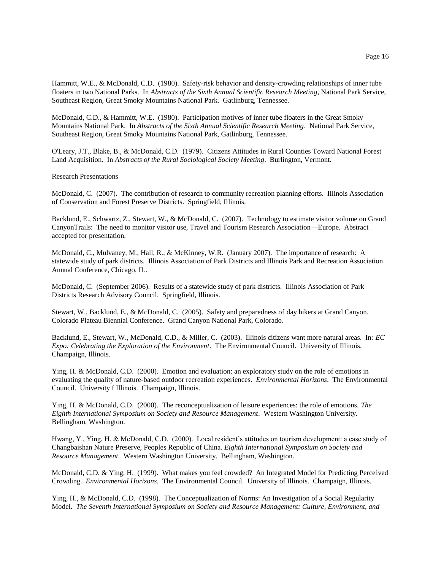Hammitt, W.E., & McDonald, C.D. (1980). Safety-risk behavior and density-crowding relationships of inner tube floaters in two National Parks. In *Abstracts of the Sixth Annual Scientific Research Meeting*, National Park Service, Southeast Region, Great Smoky Mountains National Park. Gatlinburg, Tennessee.

McDonald, C.D., & Hammitt, W.E. (1980). Participation motives of inner tube floaters in the Great Smoky Mountains National Park. In *Abstracts of the Sixth Annual Scientific Research Meeting*. National Park Service, Southeast Region, Great Smoky Mountains National Park, Gatlinburg, Tennessee.

O'Leary, J.T., Blake, B., & McDonald, C.D. (1979). Citizens Attitudes in Rural Counties Toward National Forest Land Acquisition. In *Abstracts of the Rural Sociological Society Meeting*. Burlington, Vermont.

#### Research Presentations

McDonald, C. (2007). The contribution of research to community recreation planning efforts. Illinois Association of Conservation and Forest Preserve Districts. Springfield, Illinois.

Backlund, E., Schwartz, Z., Stewart, W., & McDonald, C. (2007). Technology to estimate visitor volume on Grand CanyonTrails: The need to monitor visitor use, Travel and Tourism Research Association—Europe. Abstract accepted for presentation.

McDonald, C., Mulvaney, M., Hall, R., & McKinney, W.R. (January 2007). The importance of research: A statewide study of park districts. Illinois Association of Park Districts and Illinois Park and Recreation Association Annual Conference, Chicago, IL.

McDonald, C. (September 2006). Results of a statewide study of park districts. Illinois Association of Park Districts Research Advisory Council. Springfield, Illinois.

Stewart, W., Backlund, E., & McDonald, C. (2005). Safety and preparedness of day hikers at Grand Canyon. Colorado Plateau Biennial Conference. Grand Canyon National Park, Colorado.

Backlund, E., Stewart, W., McDonald, C.D., & Miller, C. (2003). Illinois citizens want more natural areas. In: *EC Expo: Celebrating the Exploration of the Environment*. The Environmental Council. University of Illinois, Champaign, Illinois.

Ying, H. & McDonald, C.D. (2000). Emotion and evaluation: an exploratory study on the role of emotions in evaluating the quality of nature-based outdoor recreation experiences. *Environmental Horizons*. The Environmental Council. University f Illinois. Champaign, Illinois.

Ying, H. & McDonald, C.D. (2000). The reconceptualization of leisure experiences: the role of emotions. *The Eighth International Symposium on Society and Resource Management*. Western Washington University. Bellingham, Washington.

Hwang, Y., Ying, H. & McDonald, C.D. (2000). Local resident's attitudes on tourism development: a case study of Changbaishan Nature Preserve, Peoples Republic of China. *Eighth International Symposium on Society and Resource Management*. Western Washington University. Bellingham, Washington.

McDonald, C.D. & Ying, H. (1999). What makes you feel crowded? An Integrated Model for Predicting Perceived Crowding. *Environmental Horizons*. The Environmental Council. University of Illinois. Champaign, Illinois.

Ying, H., & McDonald, C.D. (1998). The Conceptualization of Norms: An Investigation of a Social Regularity Model. *The Seventh International Symposium on Society and Resource Management: Culture, Environment, and*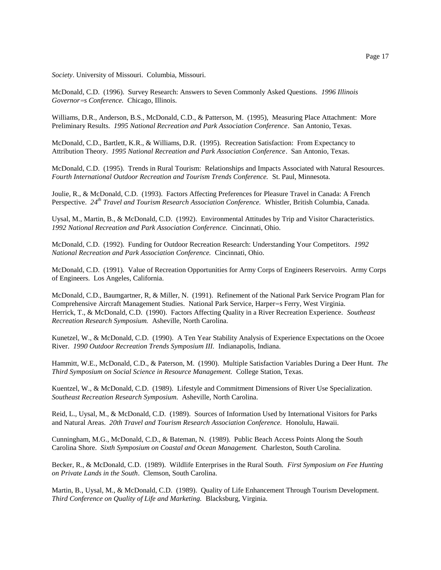*Society*. University of Missouri. Columbia, Missouri.

McDonald, C.D. (1996). Survey Research: Answers to Seven Commonly Asked Questions. *1996 Illinois Governor=s Conference.* Chicago, Illinois.

Williams, D.R., Anderson, B.S., McDonald, C.D., & Patterson, M. (1995), Measuring Place Attachment: More Preliminary Results. *1995 National Recreation and Park Association Conference*. San Antonio, Texas.

McDonald, C.D., Bartlett, K.R., & Williams, D.R. (1995). Recreation Satisfaction: From Expectancy to Attribution Theory. *1995 National Recreation and Park Association Conference*. San Antonio, Texas.

McDonald, C.D. (1995). Trends in Rural Tourism: Relationships and Impacts Associated with Natural Resources. *Fourth International Outdoor Recreation and Tourism Trends Conference.* St. Paul, Minnesota.

Joulie, R., & McDonald, C.D. (1993). Factors Affecting Preferences for Pleasure Travel in Canada: A French Perspective. *24th Travel and Tourism Research Association Conference.* Whistler, British Columbia, Canada.

Uysal, M., Martin, B., & McDonald, C.D. (1992). Environmental Attitudes by Trip and Visitor Characteristics. *1992 National Recreation and Park Association Conference.* Cincinnati, Ohio.

McDonald, C.D. (1992). Funding for Outdoor Recreation Research: Understanding Your Competitors. *1992 National Recreation and Park Association Conference.* Cincinnati, Ohio.

McDonald, C.D. (1991). Value of Recreation Opportunities for Army Corps of Engineers Reservoirs. Army Corps of Engineers. Los Angeles, California.

McDonald, C.D., Baumgartner, R, & Miller, N. (1991). Refinement of the National Park Service Program Plan for Comprehensive Aircraft Management Studies. National Park Service, Harper=s Ferry, West Virginia. Herrick, T., & McDonald, C.D. (1990). Factors Affecting Quality in a River Recreation Experience. *Southeast Recreation Research Symposium.* Asheville, North Carolina.

Kunetzel, W., & McDonald, C.D. (1990). A Ten Year Stability Analysis of Experience Expectations on the Ocoee River. *1990 Outdoor Recreation Trends Symposium III.* Indianapolis, Indiana.

Hammitt, W.E., McDonald, C.D., & Paterson, M. (1990). Multiple Satisfaction Variables During a Deer Hunt. *The Third Symposium on Social Science in Resource Management.* College Station, Texas.

Kuentzel, W., & McDonald, C.D. (1989). Lifestyle and Commitment Dimensions of River Use Specialization. *Southeast Recreation Research Symposium.* Asheville, North Carolina.

Reid, L., Uysal, M., & McDonald, C.D. (1989). Sources of Information Used by International Visitors for Parks and Natural Areas. *20th Travel and Tourism Research Association Conference.* Honolulu, Hawaii.

Cunningham, M.G., McDonald, C.D., & Bateman, N. (1989). Public Beach Access Points Along the South Carolina Shore. *Sixth Symposium on Coastal and Ocean Management.* Charleston, South Carolina.

Becker, R., & McDonald, C.D. (1989). Wildlife Enterprises in the Rural South. *First Symposium on Fee Hunting on Private Lands in the South*. Clemson, South Carolina.

Martin, B., Uysal, M., & McDonald, C.D. (1989). Quality of Life Enhancement Through Tourism Development. *Third Conference on Quality of Life and Marketing.* Blacksburg, Virginia.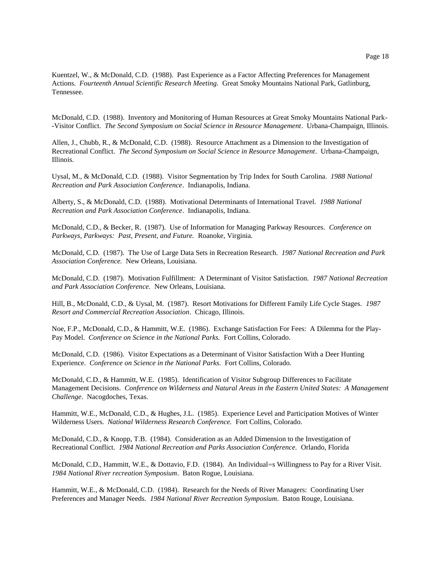Kuentzel, W., & McDonald, C.D. (1988). Past Experience as a Factor Affecting Preferences for Management Actions. *Fourteenth Annual Scientific Research Meeting.* Great Smoky Mountains National Park, Gatlinburg, Tennessee.

McDonald, C.D. (1988). Inventory and Monitoring of Human Resources at Great Smoky Mountains National Park- -Visitor Conflict. *The Second Symposium on Social Science in Resource Management*. Urbana-Champaign, Illinois.

Allen, J., Chubb, R., & McDonald, C.D. (1988). Resource Attachment as a Dimension to the Investigation of Recreational Conflict. *The Second Symposium on Social Science in Resource Management*. Urbana-Champaign, Illinois.

Uysal, M., & McDonald, C.D. (1988). Visitor Segmentation by Trip Index for South Carolina. *1988 National Recreation and Park Association Conference*. Indianapolis, Indiana.

Alberty, S., & McDonald, C.D. (1988). Motivational Determinants of International Travel. *1988 National Recreation and Park Association Conference*. Indianapolis, Indiana.

McDonald, C.D., & Becker, R. (1987). Use of Information for Managing Parkway Resources. *Conference on Parkways, Parkways: Past, Present, and Future.* Roanoke, Virginia.

McDonald, C.D. (1987). The Use of Large Data Sets in Recreation Research. *1987 National Recreation and Park Association Conference.* New Orleans, Louisiana.

McDonald, C.D. (1987). Motivation Fulfillment: A Determinant of Visitor Satisfaction. *1987 National Recreation and Park Association Conference.* New Orleans, Louisiana.

Hill, B., McDonald, C.D., & Uysal, M. (1987). Resort Motivations for Different Family Life Cycle Stages. *1987 Resort and Commercial Recreation Association*. Chicago, Illinois.

Noe, F.P., McDonald, C.D., & Hammitt, W.E. (1986). Exchange Satisfaction For Fees: A Dilemma for the Play-Pay Model. *Conference on Science in the National Parks.* Fort Collins, Colorado.

McDonald, C.D. (1986). Visitor Expectations as a Determinant of Visitor Satisfaction With a Deer Hunting Experience. *Conference on Science in the National Parks.* Fort Collins, Colorado.

McDonald, C.D., & Hammitt, W.E. (1985). Identification of Visitor Subgroup Differences to Facilitate Management Decisions. *Conference on Wilderness and Natural Areas in the Eastern United States: A Management Challenge*. Nacogdoches, Texas.

Hammitt, W.E., McDonald, C.D., & Hughes, J.L. (1985). Experience Level and Participation Motives of Winter Wilderness Users. *National Wilderness Research Conference.* Fort Collins, Colorado.

McDonald, C.D., & Knopp, T.B. (1984). Consideration as an Added Dimension to the Investigation of Recreational Conflict. *1984 National Recreation and Parks Association Conference.* Orlando, Florida

McDonald, C.D., Hammitt, W.E., & Dottavio, F.D. (1984). An Individual=s Willingness to Pay for a River Visit. *1984 National River recreation Symposium*. Baton Rogue, Louisiana.

Hammitt, W.E., & McDonald, C.D. (1984). Research for the Needs of River Managers: Coordinating User Preferences and Manager Needs. *1984 National River Recreation Symposium*. Baton Rouge, Louisiana.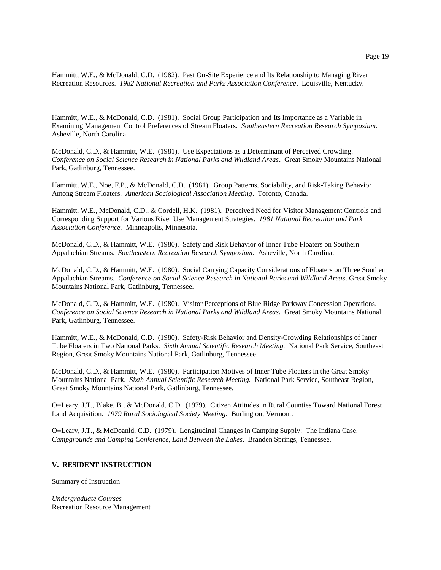Hammitt, W.E., & McDonald, C.D. (1982). Past On-Site Experience and Its Relationship to Managing River Recreation Resources. *1982 National Recreation and Parks Association Conference*. Louisville, Kentucky.

Hammitt, W.E., & McDonald, C.D. (1981). Social Group Participation and Its Importance as a Variable in Examining Management Control Preferences of Stream Floaters. *Southeastern Recreation Research Symposium*. Asheville, North Carolina.

McDonald, C.D., & Hammitt, W.E. (1981). Use Expectations as a Determinant of Perceived Crowding. *Conference on Social Science Research in National Parks and Wildland Areas*. Great Smoky Mountains National Park, Gatlinburg, Tennessee.

Hammitt, W.E., Noe, F.P., & McDonald, C.D. (1981). Group Patterns, Sociability, and Risk-Taking Behavior Among Stream Floaters. *American Sociological Association Meeting*. Toronto, Canada.

Hammitt, W.E., McDonald, C.D., & Cordell, H.K. (1981). Perceived Need for Visitor Management Controls and Corresponding Support for Various River Use Management Strategies. *1981 National Recreation and Park Association Conference.* Minneapolis, Minnesota.

McDonald, C.D., & Hammitt, W.E. (1980). Safety and Risk Behavior of Inner Tube Floaters on Southern Appalachian Streams. *Southeastern Recreation Research Symposium*. Asheville, North Carolina.

McDonald, C.D., & Hammitt, W.E. (1980). Social Carrying Capacity Considerations of Floaters on Three Southern Appalachian Streams. *Conference on Social Science Research in National Parks and Wildland Areas*. Great Smoky Mountains National Park, Gatlinburg, Tennessee.

McDonald, C.D., & Hammitt, W.E. (1980). Visitor Perceptions of Blue Ridge Parkway Concession Operations. *Conference on Social Science Research in National Parks and Wildland Areas.* Great Smoky Mountains National Park, Gatlinburg, Tennessee.

Hammitt, W.E., & McDonald, C.D. (1980). Safety-Risk Behavior and Density-Crowding Relationships of Inner Tube Floaters in Two National Parks. *Sixth Annual Scientific Research Meeting.* National Park Service, Southeast Region, Great Smoky Mountains National Park, Gatlinburg, Tennessee.

McDonald, C.D., & Hammitt, W.E. (1980). Participation Motives of Inner Tube Floaters in the Great Smoky Mountains National Park. *Sixth Annual Scientific Research Meeting.* National Park Service, Southeast Region, Great Smoky Mountains National Park, Gatlinburg, Tennessee.

O=Leary, J.T., Blake, B., & McDonald, C.D. (1979). Citizen Attitudes in Rural Counties Toward National Forest Land Acquisition. *1979 Rural Sociological Society Meeting.* Burlington, Vermont.

O=Leary, J.T., & McDoanld, C.D. (1979). Longitudinal Changes in Camping Supply: The Indiana Case. *Campgrounds and Camping Conference, Land Between the Lakes*. Branden Springs, Tennessee.

# **V. RESIDENT INSTRUCTION**

## Summary of Instruction

*Undergraduate Courses* Recreation Resource Management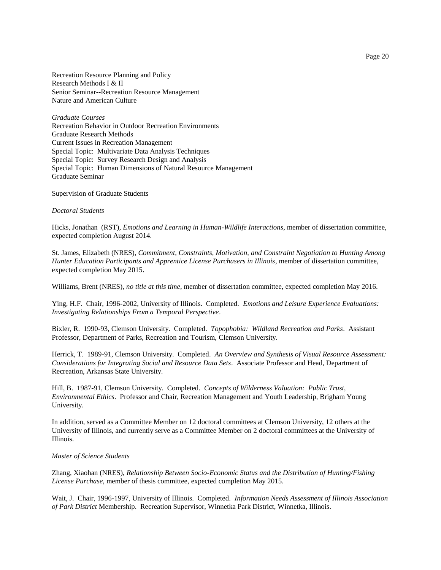Recreation Resource Planning and Policy Research Methods I & II Senior Seminar--Recreation Resource Management Nature and American Culture

*Graduate Courses* Recreation Behavior in Outdoor Recreation Environments Graduate Research Methods Current Issues in Recreation Management Special Topic: Multivariate Data Analysis Techniques Special Topic: Survey Research Design and Analysis Special Topic: Human Dimensions of Natural Resource Management Graduate Seminar

Supervision of Graduate Students

#### *Doctoral Students*

Hicks, Jonathan (RST), *Emotions and Learning in Human-Wildlife Interactions*, member of dissertation committee, expected completion August 2014.

St. James, Elizabeth (NRES), *Commitment, Constraints, Motivation, and Constraint Negotiation to Hunting Among Hunter Education Participants and Apprentice License Purchasers in Illinois*, member of dissertation committee, expected completion May 2015.

Williams, Brent (NRES), *no title at this time*, member of dissertation committee, expected completion May 2016.

Ying, H.F. Chair, 1996-2002, University of Illinois. Completed. *Emotions and Leisure Experience Evaluations: Investigating Relationships From a Temporal Perspective*.

Bixler, R. 1990-93, Clemson University. Completed. *Topophobia: Wildland Recreation and Parks*. Assistant Professor, Department of Parks, Recreation and Tourism, Clemson University.

Herrick, T. 1989-91, Clemson University. Completed. *An Overview and Synthesis of Visual Resource Assessment: Considerations for Integrating Social and Resource Data Sets*. Associate Professor and Head, Department of Recreation, Arkansas State University.

Hill, B. 1987-91, Clemson University. Completed. *Concepts of Wilderness Valuation: Public Trust, Environmental Ethics*. Professor and Chair, Recreation Management and Youth Leadership, Brigham Young University.

In addition, served as a Committee Member on 12 doctoral committees at Clemson University, 12 others at the University of Illinois, and currently serve as a Committee Member on 2 doctoral committees at the University of Illinois.

## *Master of Science Students*

Zhang, Xiaohan (NRES), *Relationship Between Socio-Economic Status and the Distribution of Hunting/Fishing License Purchase,* member of thesis committee*,* expected completion May 2015.

Wait, J. Chair, 1996-1997, University of Illinois. Completed. *Information Needs Assessment of Illinois Association of Park District* Membership. Recreation Supervisor, Winnetka Park District, Winnetka, Illinois.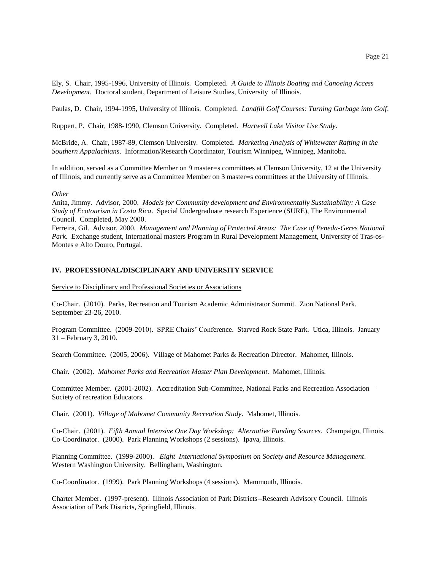Ely, S. Chair, 1995-1996, University of Illinois. Completed. *A Guide to Illinois Boating and Canoeing Access Development*. Doctoral student, Department of Leisure Studies, University of Illinois.

Paulas, D. Chair, 1994-1995, University of Illinois. Completed. *Landfill Golf Courses: Turning Garbage into Golf*.

Ruppert, P. Chair, 1988-1990, Clemson University. Completed. *Hartwell Lake Visitor Use Study*.

McBride, A. Chair, 1987-89, Clemson University. Completed. *Marketing Analysis of Whitewater Rafting in the Southern Appalachians*. Information/Research Coordinator, Tourism Winnipeg, Winnipeg, Manitoba.

In addition, served as a Committee Member on 9 master=s committees at Clemson University, 12 at the University of Illinois, and currently serve as a Committee Member on 3 master=s committees at the University of Illinois.

#### *Other*

Anita, Jimmy. Advisor, 2000. *Models for Community development and Environmentally Sustainability: A Case Study of Ecotourism in Costa Rica*. Special Undergraduate research Experience (SURE), The Environmental Council. Completed, May 2000.

Ferreira, Gil. Advisor, 2000. *Management and Planning of Protected Areas: The Case of Peneda-Geres National Park*. Exchange student, International masters Program in Rural Development Management, University of Tras-os-Montes e Alto Douro, Portugal.

# **IV. PROFESSIONAL/DISCIPLINARY AND UNIVERSITY SERVICE**

Service to Disciplinary and Professional Societies or Associations

Co-Chair. (2010). Parks, Recreation and Tourism Academic Administrator Summit. Zion National Park. September 23-26, 2010.

Program Committee. (2009-2010). SPRE Chairs' Conference. Starved Rock State Park. Utica, Illinois. January 31 – February 3, 2010.

Search Committee. (2005, 2006). Village of Mahomet Parks & Recreation Director. Mahomet, Illinois.

Chair. (2002). *Mahomet Parks and Recreation Master Plan Development*. Mahomet, Illinois.

Committee Member. (2001-2002). Accreditation Sub-Committee, National Parks and Recreation Association— Society of recreation Educators.

Chair. (2001). *Village of Mahomet Community Recreation Study*. Mahomet, Illinois.

Co-Chair. (2001). *Fifth Annual Intensive One Day Workshop: Alternative Funding Sources*. Champaign, Illinois. Co-Coordinator. (2000). Park Planning Workshops (2 sessions). Ipava, Illinois.

Planning Committee. (1999-2000). *Eight International Symposium on Society and Resource Management*. Western Washington University. Bellingham, Washington.

Co-Coordinator. (1999). Park Planning Workshops (4 sessions). Mammouth, Illinois.

Charter Member. (1997-present). Illinois Association of Park Districts--Research Advisory Council. Illinois Association of Park Districts, Springfield, Illinois.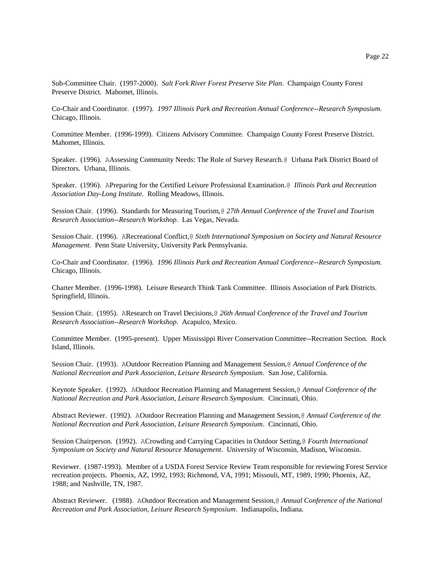Sub-Committee Chair. (1997-2000). *Salt Fork River Forest Preserve Site Plan*. Champaign County Forest Preserve District. Mahomet, Illinois.

Co-Chair and Coordinator. (1997). *1997 Illinois Park and Recreation Annual Conference--Research Symposium.*  Chicago, Illinois.

Committee Member. (1996-1999). Citizens Advisory Committee. Champaign County Forest Preserve District. Mahomet, Illinois.

Speaker. (1996). AAssessing Community Needs: The Role of Survey Research.@ Urbana Park District Board of Directors*.* Urbana, Illinois.

Speaker. (1996). APreparing for the Certified Leisure Professional Examination.@ *Illinois Park and Recreation Association Day-Long Institute.* Rolling Meadows, Illinois.

Session Chair. (1996). Standards for Measuring Tourism,@ *27th Annual Conference of the Travel and Tourism Research Association--Research Workshop*. Las Vegas, Nevada.

Session Chair. (1996). ARecreational Conflict,@ *Sixth International Symposium on Society and Natural Resource Management*. Penn State University, University Park Pennsylvania.

Co-Chair and Coordinator. (1996). *1996 Illinois Park and Recreation Annual Conference--Research Symposium.* Chicago, Illinois.

Charter Member. (1996-1998). Leisure Research Think Tank Committee. Illinois Association of Park Districts. Springfield, Illinois.

Session Chair. (1995). AResearch on Travel Decisions,@ *26th Annual Conference of the Travel and Tourism Research Association--Research Workshop*. Acapulco, Mexico.

Committee Member. (1995-present). Upper Mississippi River Conservation Committee--Recreation Section. Rock Island, Illinois.

Session Chair. (1993). AOutdoor Recreation Planning and Management Session,@ *Annual Conference of the National Recreation and Park Association, Leisure Research Symposium*. San Jose, California.

Keynote Speaker. (1992). AOutdoor Recreation Planning and Management Session,@ *Annual Conference of the National Recreation and Park Association, Leisure Research Symposium*. Cincinnati, Ohio.

Abstract Reviewer. (1992). AOutdoor Recreation Planning and Management Session,@ *Annual Conference of the National Recreation and Park Association, Leisure Research Symposium*. Cincinnati, Ohio.

Session Chairperson. (1992). ACrowding and Carrying Capacities in Outdoor Setting,@ *Fourth International Symposium on Society and Natural Resource Management*. University of Wisconsin, Madison, Wisconsin.

Reviewer. (1987-1993). Member of a USDA Forest Service Review Team responsible for reviewing Forest Service recreation projects. Phoenix, AZ, 1992, 1993; Richmond, VA, 1991; Missouli, MT, 1989, 1990; Phoenix, AZ, 1988; and Nashville, TN, 1987.

Abstract Reviewer. (1988). AOutdoor Recreation and Management Session,@ *Annual Conference of the National Recreation and Park Association, Leisure Research Symposium*. Indianapolis, Indiana.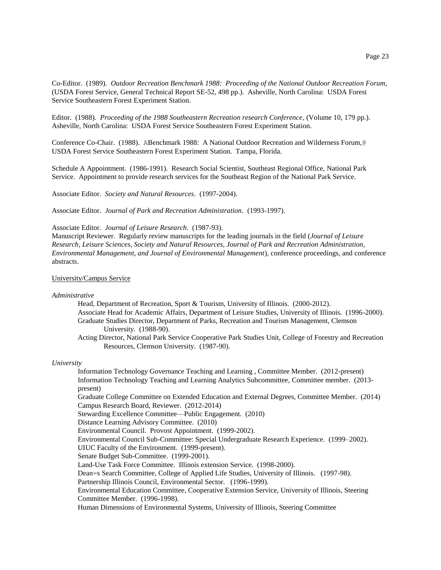Co-Editor. (1989). *Outdoor Recreation Benchmark 1988: Proceeding of the National Outdoor Recreation Forum*, (USDA Forest Service, General Technical Report SE-52, 498 pp.). Asheville, North Carolina: USDA Forest Service Southeastern Forest Experiment Station.

Editor. (1988). *Proceeding of the 1988 Southeastern Recreation research Conference*, (Volume 10, 179 pp.). Asheville, North Carolina: USDA Forest Service Southeastern Forest Experiment Station.

Conference Co-Chair. (1988). ABenchmark 1988: A National Outdoor Recreation and Wilderness Forum,@ USDA Forest Service Southeastern Forest Experiment Station. Tampa, Florida.

Schedule A Appointment. (1986-1991). Research Social Scientist, Southeast Regional Office, National Park Service. Appointment to provide research services for the Southeast Region of the National Park Service.

Associate Editor. *Society and Natural Resources*. (1997-2004).

Associate Editor. *Journal of Park and Recreation Administration*. (1993-1997).

Associate Editor. *Journal of Leisure Research*. (1987-93).

Manuscript Reviewer. Regularly review manuscripts for the leading journals in the field (*Journal of Leisure Research, Leisure Sciences, Society and Natural Resources, Journal of Park and Recreation Administration, Environmental Management, and Journal of Environmental Management*), conference proceedings, and conference abstracts.

# University/Campus Service

#### *Administrative*

Head, Department of Recreation, Sport & Tourism, University of Illinois. (2000-2012). Associate Head for Academic Affairs, Department of Leisure Studies, University of Illinois. (1996-2000). Graduate Studies Director, Department of Parks, Recreation and Tourism Management, Clemson University. (1988-90).

Acting Director, National Park Service Cooperative Park Studies Unit, College of Forestry and Recreation Resources, Clemson University. (1987-90).

#### *University*

Information Technology Governance Teaching and Learning , Committee Member. (2012-present) Information Technology Teaching and Learning Analytics Subcommittee, Committee member. (2013 present) Graduate College Committee on Extended Education and External Degrees, Committee Member. (2014) Campus Research Board, Reviewer. (2012-2014) Stewarding Excellence Committee—Public Engagement. (2010) Distance Learning Advisory Committee. (2010) Environmental Council. Provost Appointment. (1999-2002). Environmental Council Sub-Committee: Special Undergraduate Research Experience. (1999–2002). UIUC Faculty of the Environment. (1999-present). Senate Budget Sub-Committee. (1999-2001). Land-Use Task Force Committee. Illinois extension Service. (1998-2000). Dean=s Search Committee, College of Applied Life Studies, University of Illinois. (1997-98). Partnership Illinois Council, Environmental Sector. (1996-1999). Environmental Education Committee, Cooperative Extension Service, University of Illinois, Steering Committee Member. (1996-1998). Human Dimensions of Environmental Systems, University of Illinois, Steering Committee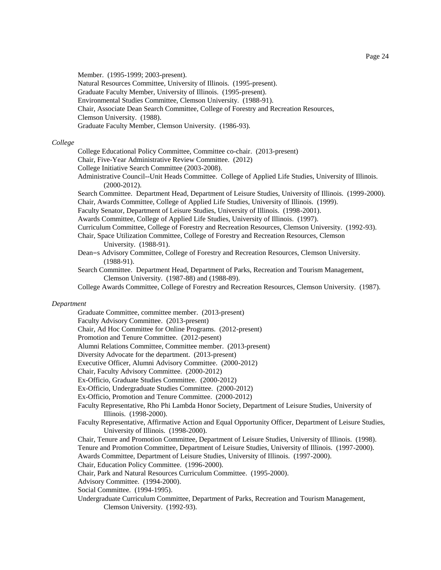Member. (1995-1999; 2003-present).

Natural Resources Committee, University of Illinois. (1995-present).

- Graduate Faculty Member, University of Illinois. (1995-present).
- Environmental Studies Committee, Clemson University. (1988-91).

Chair, Associate Dean Search Committee, College of Forestry and Recreation Resources,

Clemson University. (1988).

Graduate Faculty Member, Clemson University. (1986-93).

# *College*

College Educational Policy Committee, Committee co-chair. (2013-present)

Chair, Five-Year Administrative Review Committee. (2012)

College Initiative Search Committee (2003-2008).

Administrative Council--Unit Heads Committee. College of Applied Life Studies, University of Illinois. (2000-2012).

Search Committee. Department Head, Department of Leisure Studies, University of Illinois. (1999-2000).

Chair, Awards Committee, College of Applied Life Studies, University of Illinois. (1999).

Faculty Senator, Department of Leisure Studies, University of Illinois. (1998-2001).

Awards Committee, College of Applied Life Studies, University of Illinois. (1997).

Curriculum Committee, College of Forestry and Recreation Resources, Clemson University. (1992-93).

- Chair, Space Utilization Committee, College of Forestry and Recreation Resources, Clemson University. (1988-91).
- Dean=s Advisory Committee, College of Forestry and Recreation Resources, Clemson University. (1988-91).
- Search Committee. Department Head, Department of Parks, Recreation and Tourism Management, Clemson University. (1987-88) and (1988-89).

College Awards Committee, College of Forestry and Recreation Resources, Clemson University. (1987).

# *Department*

Graduate Committee, committee member. (2013-present)

Faculty Advisory Committee. (2013-present)

Chair, Ad Hoc Committee for Online Programs. (2012-present)

Promotion and Tenure Committee. (2012-pesent)

Alumni Relations Committee, Committee member. (2013-present)

Diversity Advocate for the department. (2013-present)

Executive Officer, Alumni Advisory Committee. (2000-2012)

Chair, Faculty Advisory Committee. (2000-2012)

Ex-Officio, Graduate Studies Committee. (2000-2012)

Ex-Officio, Undergraduate Studies Committee. (2000-2012)

Ex-Officio, Promotion and Tenure Committee. (2000-2012)

Faculty Representative, Rho Phi Lambda Honor Society, Department of Leisure Studies, University of Illinois. (1998-2000).

- Faculty Representative, Affirmative Action and Equal Opportunity Officer, Department of Leisure Studies, University of Illinois. (1998-2000).
- Chair, Tenure and Promotion Committee, Department of Leisure Studies, University of Illinois. (1998).

Tenure and Promotion Committee, Department of Leisure Studies, University of Illinois. (1997-2000).

Awards Committee, Department of Leisure Studies, University of Illinois. (1997-2000).

Chair, Education Policy Committee. (1996-2000).

Chair, Park and Natural Resources Curriculum Committee. (1995-2000).

Advisory Committee. (1994-2000).

Social Committee. (1994-1995).

Undergraduate Curriculum Committee, Department of Parks, Recreation and Tourism Management, Clemson University. (1992-93).